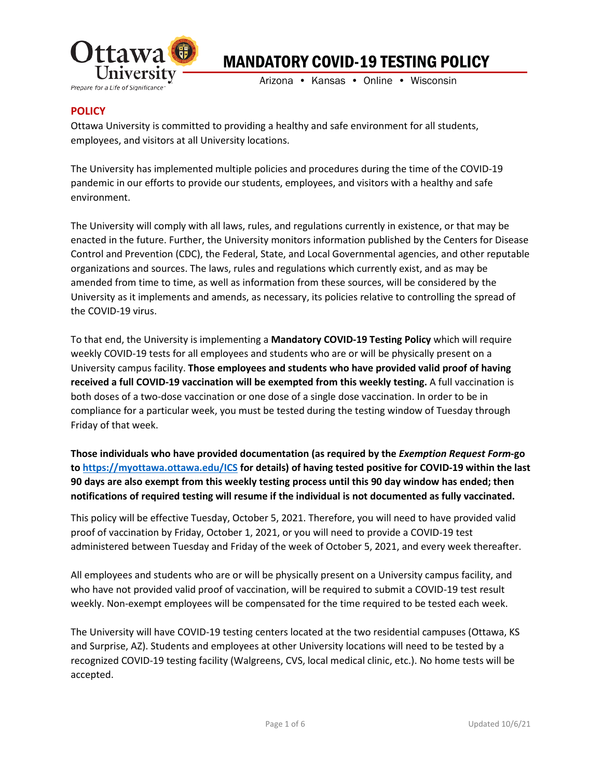

Arizona • Kansas • Online • Wisconsin

## **POLICY**

Ottawa University is committed to providing a healthy and safe environment for all students, employees, and visitors at all University locations.

The University has implemented multiple policies and procedures during the time of the COVID-19 pandemic in our efforts to provide our students, employees, and visitors with a healthy and safe environment.

The University will comply with all laws, rules, and regulations currently in existence, or that may be enacted in the future. Further, the University monitors information published by the Centers for Disease Control and Prevention (CDC), the Federal, State, and Local Governmental agencies, and other reputable organizations and sources. The laws, rules and regulations which currently exist, and as may be amended from time to time, as well as information from these sources, will be considered by the University as it implements and amends, as necessary, its policies relative to controlling the spread of the COVID-19 virus.

To that end, the University is implementing a **Mandatory COVID-19 Testing Policy** which will require weekly COVID-19 tests for all employees and students who are or will be physically present on a University campus facility. **Those employees and students who have provided valid proof of having received a full COVID-19 vaccination will be exempted from this weekly testing.** A full vaccination is both doses of a two-dose vaccination or one dose of a single dose vaccination. In order to be in compliance for a particular week, you must be tested during the testing window of Tuesday through Friday of that week.

**Those individuals who have provided documentation (as required by the** *Exemption Request Form***-go to [https://myottawa.ottawa.edu/ICS](https://nam11.safelinks.protection.outlook.com/?url=https%3A%2F%2Fmyottawa.ottawa.edu%2FICS&data=04%7C01%7Clara.boyd%40ottawa.edu%7Cc90fc2a63a494c3ad2a308d988cb7bea%7Cfc826feb328b4b82af7eb6ed718be735%7C0%7C0%7C637691229799780982%7CUnknown%7CTWFpbGZsb3d8eyJWIjoiMC4wLjAwMDAiLCJQIjoiV2luMzIiLCJBTiI6Ik1haWwiLCJXVCI6Mn0%3D%7C1000&sdata=gu2SKwqa6GQmV4v93ica7mNuNiOGk0X8uH6N9sCEX1k%3D&reserved=0) for details) of having tested positive for COVID-19 within the last 90 days are also exempt from this weekly testing process until this 90 day window has ended; then notifications of required testing will resume if the individual is not documented as fully vaccinated.** 

This policy will be effective Tuesday, October 5, 2021. Therefore, you will need to have provided valid proof of vaccination by Friday, October 1, 2021, or you will need to provide a COVID-19 test administered between Tuesday and Friday of the week of October 5, 2021, and every week thereafter.

All employees and students who are or will be physically present on a University campus facility, and who have not provided valid proof of vaccination, will be required to submit a COVID-19 test result weekly. Non-exempt employees will be compensated for the time required to be tested each week.

The University will have COVID-19 testing centers located at the two residential campuses (Ottawa, KS and Surprise, AZ). Students and employees at other University locations will need to be tested by a recognized COVID-19 testing facility (Walgreens, CVS, local medical clinic, etc.). No home tests will be accepted.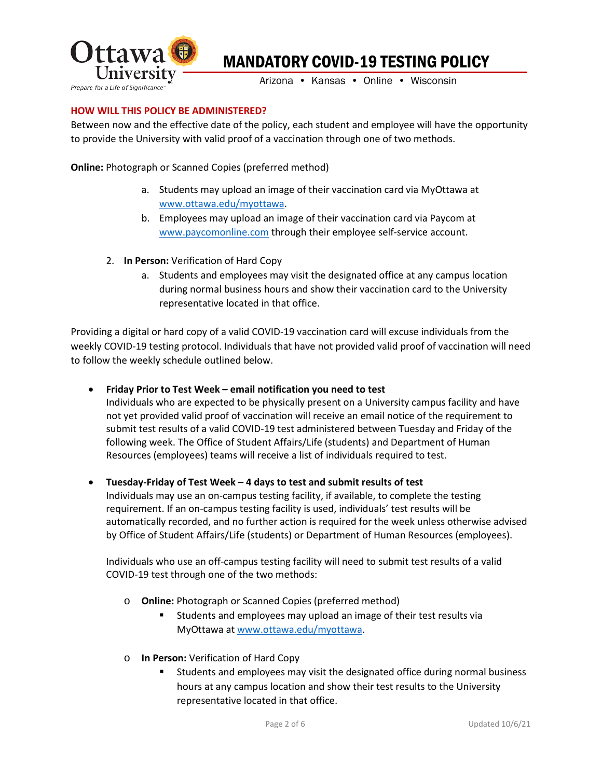

Arizona • Kansas • Online • Wisconsin

## **HOW WILL THIS POLICY BE ADMINISTERED?**

Between now and the effective date of the policy, each student and employee will have the opportunity to provide the University with valid proof of a vaccination through one of two methods.

**Online:** Photograph or Scanned Copies (preferred method)

- a. Students may upload an image of their vaccination card via MyOttawa at [www.ottawa.edu/myottawa.](http://www.ottawa.edu/myottawa)
- b. Employees may upload an image of their vaccination card via Paycom at [www.paycomonline.com](http://www.paycomonline.com/) through their employee self-service account.
- 2. **In Person:** Verification of Hard Copy
	- a. Students and employees may visit the designated office at any campus location during normal business hours and show their vaccination card to the University representative located in that office.

Providing a digital or hard copy of a valid COVID-19 vaccination card will excuse individuals from the weekly COVID-19 testing protocol. Individuals that have not provided valid proof of vaccination will need to follow the weekly schedule outlined below.

## • **Friday Prior to Test Week – email notification you need to test**

Individuals who are expected to be physically present on a University campus facility and have not yet provided valid proof of vaccination will receive an email notice of the requirement to submit test results of a valid COVID-19 test administered between Tuesday and Friday of the following week. The Office of Student Affairs/Life (students) and Department of Human Resources (employees) teams will receive a list of individuals required to test.

## • **Tuesday-Friday of Test Week – 4 days to test and submit results of test**

Individuals may use an on-campus testing facility, if available, to complete the testing requirement. If an on-campus testing facility is used, individuals' test results will be automatically recorded, and no further action is required for the week unless otherwise advised by Office of Student Affairs/Life (students) or Department of Human Resources (employees).

Individuals who use an off-campus testing facility will need to submit test results of a valid COVID-19 test through one of the two methods:

- o **Online:** Photograph or Scanned Copies (preferred method)
	- Students and employees may upload an image of their test results via MyOttawa at [www.ottawa.edu/myottawa.](http://www.ottawa.edu/myottawa)
- o **In Person:** Verification of Hard Copy
	- Students and employees may visit the designated office during normal business hours at any campus location and show their test results to the University representative located in that office.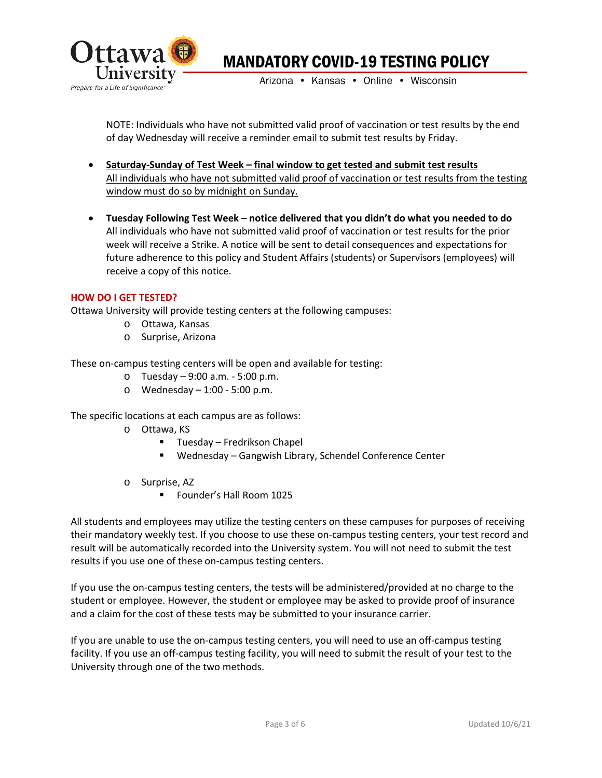

Arizona • Kansas • Online • Wisconsin

NOTE: Individuals who have not submitted valid proof of vaccination or test results by the end of day Wednesday will receive a reminder email to submit test results by Friday.

- **Saturday-Sunday of Test Week – final window to get tested and submit test results** All individuals who have not submitted valid proof of vaccination or test results from the testing window must do so by midnight on Sunday.
- **Tuesday Following Test Week – notice delivered that you didn't do what you needed to do** All individuals who have not submitted valid proof of vaccination or test results for the prior week will receive a Strike. A notice will be sent to detail consequences and expectations for future adherence to this policy and Student Affairs (students) or Supervisors (employees) will receive a copy of this notice.

#### **HOW DO I GET TESTED?**

Ottawa University will provide testing centers at the following campuses:

- o Ottawa, Kansas
- o Surprise, Arizona

These on-campus testing centers will be open and available for testing:

- o Tuesday 9:00 a.m. 5:00 p.m.
- o Wednesday 1:00 5:00 p.m.

The specific locations at each campus are as follows:

- o Ottawa, KS
	- Tuesday Fredrikson Chapel
	- Wednesday Gangwish Library, Schendel Conference Center
- o Surprise, AZ
	- Founder's Hall Room 1025

All students and employees may utilize the testing centers on these campuses for purposes of receiving their mandatory weekly test. If you choose to use these on-campus testing centers, your test record and result will be automatically recorded into the University system. You will not need to submit the test results if you use one of these on-campus testing centers.

If you use the on-campus testing centers, the tests will be administered/provided at no charge to the student or employee. However, the student or employee may be asked to provide proof of insurance and a claim for the cost of these tests may be submitted to your insurance carrier.

If you are unable to use the on-campus testing centers, you will need to use an off-campus testing facility. If you use an off-campus testing facility, you will need to submit the result of your test to the University through one of the two methods.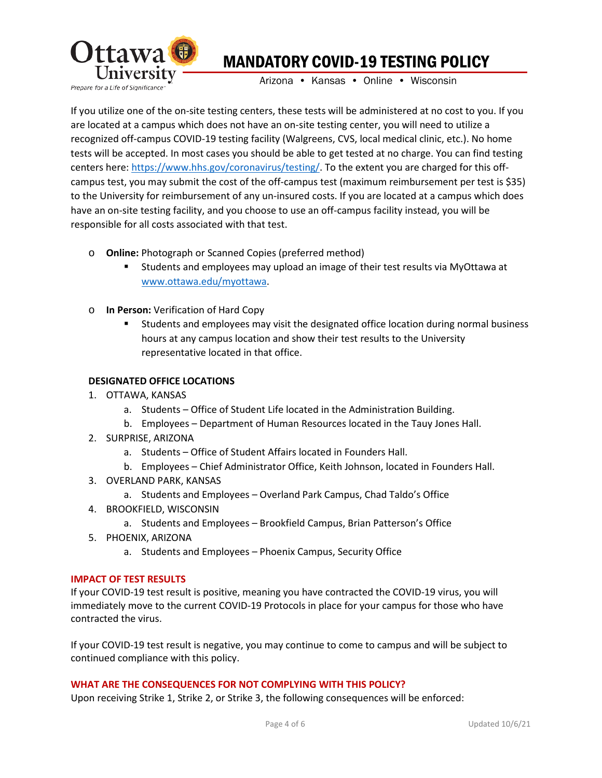

Arizona • Kansas • Online • Wisconsin

If you utilize one of the on-site testing centers, these tests will be administered at no cost to you. If you are located at a campus which does not have an on-site testing center, you will need to utilize a recognized off-campus COVID-19 testing facility (Walgreens, CVS, local medical clinic, etc.). No home tests will be accepted. In most cases you should be able to get tested at no charge. You can find testing centers here: [https://www.hhs.gov/coronavirus/testing/.](https://www.hhs.gov/coronavirus/testing/) To the extent you are charged for this offcampus test, you may submit the cost of the off-campus test (maximum reimbursement per test is \$35) to the University for reimbursement of any un-insured costs. If you are located at a campus which does have an on-site testing facility, and you choose to use an off-campus facility instead, you will be responsible for all costs associated with that test.

- o **Online:** Photograph or Scanned Copies (preferred method)
	- Students and employees may upload an image of their test results via MyOttawa at [www.ottawa.edu/myottawa.](http://www.ottawa.edu/myottawa)
- o **In Person:** Verification of Hard Copy
	- Students and employees may visit the designated office location during normal business hours at any campus location and show their test results to the University representative located in that office.

## **DESIGNATED OFFICE LOCATIONS**

- 1. OTTAWA, KANSAS
	- a. Students Office of Student Life located in the Administration Building.
	- b. Employees Department of Human Resources located in the Tauy Jones Hall.
- 2. SURPRISE, ARIZONA
	- a. Students Office of Student Affairs located in Founders Hall.
	- b. Employees Chief Administrator Office, Keith Johnson, located in Founders Hall.
- 3. OVERLAND PARK, KANSAS
	- a. Students and Employees Overland Park Campus, Chad Taldo's Office
- 4. BROOKFIELD, WISCONSIN
	- a. Students and Employees Brookfield Campus, Brian Patterson's Office
- 5. PHOENIX, ARIZONA
	- a. Students and Employees Phoenix Campus, Security Office

#### **IMPACT OF TEST RESULTS**

If your COVID-19 test result is positive, meaning you have contracted the COVID-19 virus, you will immediately move to the current COVID-19 Protocols in place for your campus for those who have contracted the virus.

If your COVID-19 test result is negative, you may continue to come to campus and will be subject to continued compliance with this policy.

#### **WHAT ARE THE CONSEQUENCES FOR NOT COMPLYING WITH THIS POLICY?**

Upon receiving Strike 1, Strike 2, or Strike 3, the following consequences will be enforced: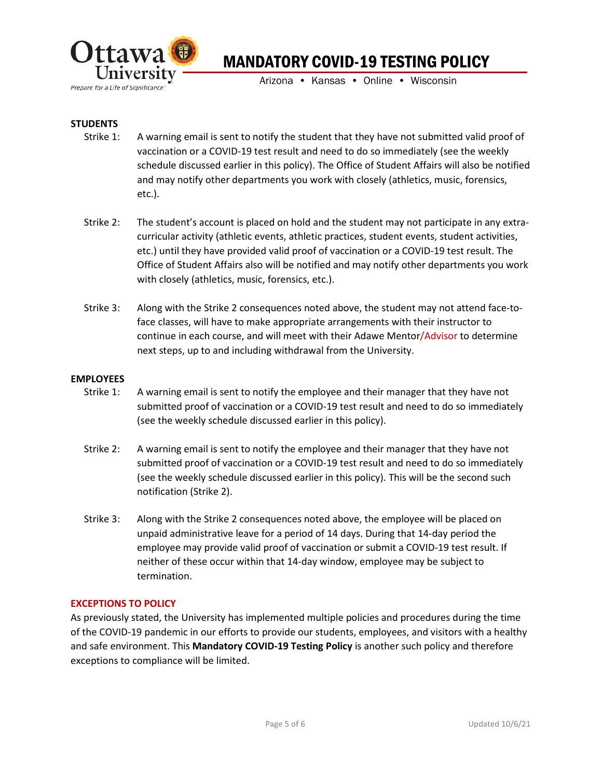

Arizona • Kansas • Online • Wisconsin

## **STUDENTS**

- Strike 1: A warning email is sent to notify the student that they have not submitted valid proof of vaccination or a COVID-19 test result and need to do so immediately (see the weekly schedule discussed earlier in this policy). The Office of Student Affairs will also be notified and may notify other departments you work with closely (athletics, music, forensics, etc.).
- Strike 2: The student's account is placed on hold and the student may not participate in any extracurricular activity (athletic events, athletic practices, student events, student activities, etc.) until they have provided valid proof of vaccination or a COVID-19 test result. The Office of Student Affairs also will be notified and may notify other departments you work with closely (athletics, music, forensics, etc.).
- Strike 3: Along with the Strike 2 consequences noted above, the student may not attend face-toface classes, will have to make appropriate arrangements with their instructor to continue in each course, and will meet with their Adawe Mentor/Advisor to determine next steps, up to and including withdrawal from the University.

#### **EMPLOYEES**

- Strike 1: A warning email is sent to notify the employee and their manager that they have not submitted proof of vaccination or a COVID-19 test result and need to do so immediately (see the weekly schedule discussed earlier in this policy).
- Strike 2: A warning email is sent to notify the employee and their manager that they have not submitted proof of vaccination or a COVID-19 test result and need to do so immediately (see the weekly schedule discussed earlier in this policy). This will be the second such notification (Strike 2).
- Strike 3: Along with the Strike 2 consequences noted above, the employee will be placed on unpaid administrative leave for a period of 14 days. During that 14-day period the employee may provide valid proof of vaccination or submit a COVID-19 test result. If neither of these occur within that 14-day window, employee may be subject to termination.

#### **EXCEPTIONS TO POLICY**

As previously stated, the University has implemented multiple policies and procedures during the time of the COVID-19 pandemic in our efforts to provide our students, employees, and visitors with a healthy and safe environment. This **Mandatory COVID-19 Testing Policy** is another such policy and therefore exceptions to compliance will be limited.